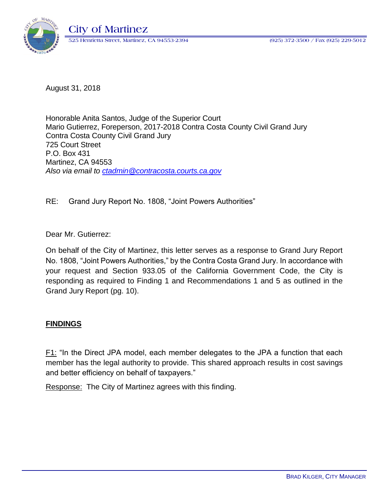

August 31, 2018

Honorable Anita Santos, Judge of the Superior Court Mario Gutierrez, Foreperson, 2017-2018 Contra Costa County Civil Grand Jury Contra Costa County Civil Grand Jury 725 Court Street P.O. Box 431 Martinez, CA 94553 *Also via email to [ctadmin@contracosta.courts.ca.gov](mailto:ctadmin@contracosta.courts.ca.gov)*

RE: Grand Jury Report No. 1808, "Joint Powers Authorities"

Dear Mr. Gutierrez:

On behalf of the City of Martinez, this letter serves as a response to Grand Jury Report No. 1808, "Joint Powers Authorities," by the Contra Costa Grand Jury. In accordance with your request and Section 933.05 of the California Government Code, the City is responding as required to Finding 1 and Recommendations 1 and 5 as outlined in the Grand Jury Report (pg. 10).

## **FINDINGS**

F1: "In the Direct JPA model, each member delegates to the JPA a function that each member has the legal authority to provide. This shared approach results in cost savings and better efficiency on behalf of taxpayers."

Response: The City of Martinez agrees with this finding.